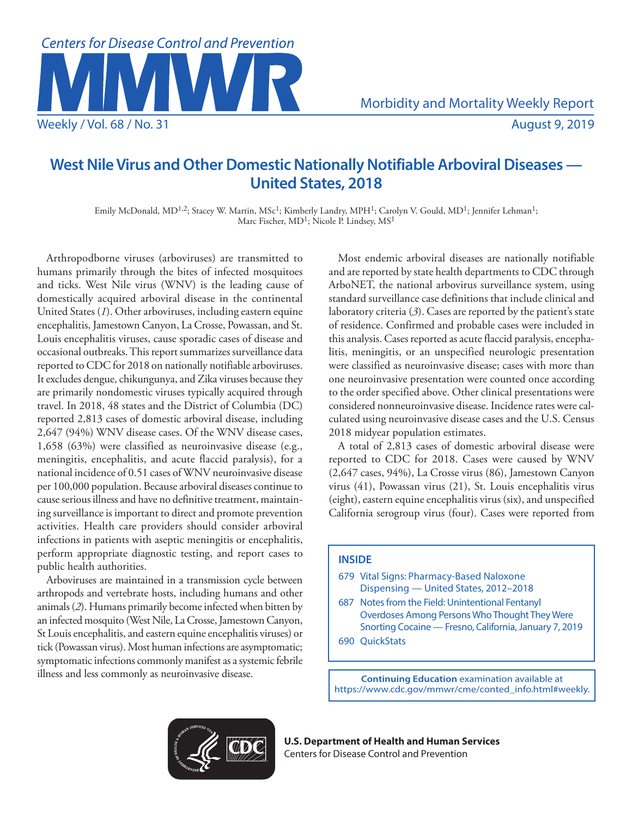

# **West Nile Virus and Other Domestic Nationally Notifiable Arboviral Diseases — United States, 2018**

Emily McDonald, MD<sup>1,2</sup>; Stacey W. Martin, MSc<sup>1</sup>; Kimberly Landry, MPH<sup>1</sup>; Carolyn V. Gould, MD<sup>1</sup>; Jennifer Lehman<sup>1</sup>; Marc Fischer, MD<sup>1</sup>; Nicole P. Lindsey, MS<sup>1</sup>

Arthropodborne viruses (arboviruses) are transmitted to humans primarily through the bites of infected mosquitoes and ticks. West Nile virus (WNV) is the leading cause of domestically acquired arboviral disease in the continental United States (*1*). Other arboviruses, including eastern equine encephalitis, Jamestown Canyon, La Crosse, Powassan, and St. Louis encephalitis viruses, cause sporadic cases of disease and occasional outbreaks. This report summarizes surveillance data reported to CDC for 2018 on nationally notifiable arboviruses. It excludes dengue, chikungunya, and Zika viruses because they are primarily nondomestic viruses typically acquired through travel. In 2018, 48 states and the District of Columbia (DC) reported 2,813 cases of domestic arboviral disease, including 2,647 (94%) WNV disease cases. Of the WNV disease cases, 1,658 (63%) were classified as neuroinvasive disease (e.g., meningitis, encephalitis, and acute flaccid paralysis), for a national incidence of 0.51 cases of WNV neuroinvasive disease per 100,000 population. Because arboviral diseases continue to cause serious illness and have no definitive treatment, maintaining surveillance is important to direct and promote prevention activities. Health care providers should consider arboviral infections in patients with aseptic meningitis or encephalitis, perform appropriate diagnostic testing, and report cases to public health authorities.

Arboviruses are maintained in a transmission cycle between arthropods and vertebrate hosts, including humans and other animals (*2*). Humans primarily become infected when bitten by an infected mosquito (West Nile, La Crosse, Jamestown Canyon, St Louis encephalitis, and eastern equine encephalitis viruses) or tick (Powassan virus). Most human infections are asymptomatic; symptomatic infections commonly manifest as a systemic febrile illness and less commonly as neuroinvasive disease.

Most endemic arboviral diseases are nationally notifiable and are reported by state health departments to CDC through ArboNET, the national arbovirus surveillance system, using standard surveillance case definitions that include clinical and laboratory criteria (*3*). Cases are reported by the patient's state of residence. Confirmed and probable cases were included in this analysis. Cases reported as acute flaccid paralysis, encephalitis, meningitis, or an unspecified neurologic presentation were classified as neuroinvasive disease; cases with more than one neuroinvasive presentation were counted once according to the order specified above. Other clinical presentations were considered nonneuroinvasive disease. Incidence rates were calculated using neuroinvasive disease cases and the U.S. Census 2018 midyear population estimates.

A total of 2,813 cases of domestic arboviral disease were reported to CDC for 2018. Cases were caused by WNV (2,647 cases, 94%), La Crosse virus (86), Jamestown Canyon virus (41), Powassan virus (21), St. Louis encephalitis virus (eight), eastern equine encephalitis virus (six), and unspecified California serogroup virus (four). Cases were reported from

# **INSIDE**

- 679 Vital Signs: Pharmacy-Based Naloxone Dispensing — United States, 2012–2018
- 687 Notes from the Field: Unintentional Fentanyl Overdoses Among Persons Who Thought They Were Snorting Cocaine — Fresno, California, January 7, 2019
- 690 QuickStats

**Continuing Education** examination available at [https://www.cdc.gov/mmwr/cme/conted\\_info.html#weekly](https://www.cdc.gov/mmwr/cme/conted_info.html#weekly).



**U.S. Department of Health and Human Services** Centers for Disease Control and Prevention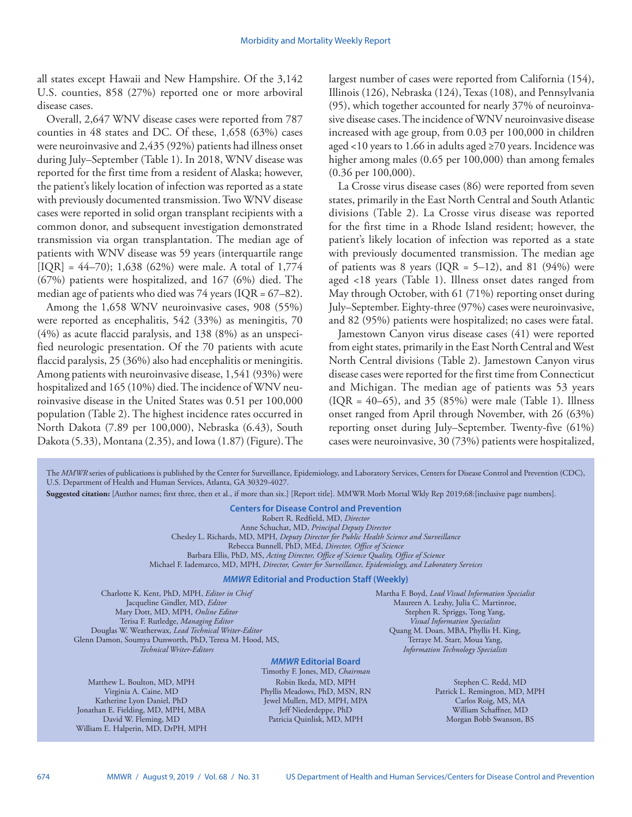all states except Hawaii and New Hampshire. Of the 3,142 U.S. counties, 858 (27%) reported one or more arboviral disease cases.

Overall, 2,647 WNV disease cases were reported from 787 counties in 48 states and DC. Of these, 1,658 (63%) cases were neuroinvasive and 2,435 (92%) patients had illness onset during July–September (Table 1). In 2018, WNV disease was reported for the first time from a resident of Alaska; however, the patient's likely location of infection was reported as a state with previously documented transmission. Two WNV disease cases were reported in solid organ transplant recipients with a common donor, and subsequent investigation demonstrated transmission via organ transplantation. The median age of patients with WNV disease was 59 years (interquartile range  $[IQR] = 44–70$ ; 1,638 (62%) were male. A total of 1,774 (67%) patients were hospitalized, and 167 (6%) died. The median age of patients who died was  $74$  years (IQR = 67–82).

Among the 1,658 WNV neuroinvasive cases, 908 (55%) were reported as encephalitis, 542 (33%) as meningitis, 70 (4%) as acute flaccid paralysis, and 138 (8%) as an unspecified neurologic presentation. Of the 70 patients with acute flaccid paralysis, 25 (36%) also had encephalitis or meningitis. Among patients with neuroinvasive disease, 1,541 (93%) were hospitalized and 165 (10%) died. The incidence of WNV neuroinvasive disease in the United States was 0.51 per 100,000 population (Table 2). The highest incidence rates occurred in North Dakota (7.89 per 100,000), Nebraska (6.43), South Dakota (5.33), Montana (2.35), and Iowa (1.87) (Figure). The largest number of cases were reported from California (154), Illinois (126), Nebraska (124), Texas (108), and Pennsylvania (95), which together accounted for nearly 37% of neuroinvasive disease cases. The incidence of WNV neuroinvasive disease increased with age group, from 0.03 per 100,000 in children aged <10 years to 1.66 in adults aged ≥70 years. Incidence was higher among males (0.65 per 100,000) than among females (0.36 per 100,000).

La Crosse virus disease cases (86) were reported from seven states, primarily in the East North Central and South Atlantic divisions (Table 2). La Crosse virus disease was reported for the first time in a Rhode Island resident; however, the patient's likely location of infection was reported as a state with previously documented transmission. The median age of patients was 8 years (IQR = 5–12), and 81 (94%) were aged <18 years (Table 1). Illness onset dates ranged from May through October, with 61 (71%) reporting onset during July–September. Eighty-three (97%) cases were neuroinvasive, and 82 (95%) patients were hospitalized; no cases were fatal.

Jamestown Canyon virus disease cases (41) were reported from eight states, primarily in the East North Central and West North Central divisions (Table 2). Jamestown Canyon virus disease cases were reported for the first time from Connecticut and Michigan. The median age of patients was 53 years  $(IQR = 40-65)$ , and 35 (85%) were male (Table 1). Illness onset ranged from April through November, with 26 (63%) reporting onset during July–September. Twenty-five (61%) cases were neuroinvasive, 30 (73%) patients were hospitalized,

The *MMWR* series of publications is published by the Center for Surveillance, Epidemiology, and Laboratory Services, Centers for Disease Control and Prevention (CDC), U.S. Department of Health and Human Services, Atlanta, GA 30329-4027.

**Suggested citation:** [Author names; first three, then et al., if more than six.] [Report title]. MMWR Morb Mortal Wkly Rep 2019;68:[inclusive page numbers].

**Centers for Disease Control and Prevention** Robert R. Redfield, MD, *Director* Anne Schuchat, MD, *Principal Deputy Director* Chesley L. Richards, MD, MPH, *Deputy Director for Public Health Science and Surveillance* Rebecca Bunnell, PhD, MEd, *Director, Office of Science* Barbara Ellis, PhD, MS, *Acting Director, Office of Science Quality, Office of Science* Michael F. Iademarco, MD, MPH, *Director, Center for Surveillance, Epidemiology, and Laboratory Services*

#### *MMWR* **Editorial and Production Staff (Weekly)**

Charlotte K. Kent, PhD, MPH, *Editor in Chief* Jacqueline Gindler, MD, *Editor* Mary Dott, MD, MPH, *Online Editor* Terisa F. Rutledge, *Managing Editor* Douglas W. Weatherwax, *Lead Technical Writer-Editor* Glenn Damon, Soumya Dunworth, PhD, Teresa M. Hood, MS, *Technical Writer-Editors*

Matthew L. Boulton, MD, MPH Virginia A. Caine, MD Katherine Lyon Daniel, PhD Jonathan E. Fielding, MD, MPH, MBA David W. Fleming, MD William E. Halperin, MD, DrPH, MPH

*MMWR* **Editorial Board** Timothy F. Jones, MD, *Chairman* Robin Ikeda, MD, MPH Phyllis Meadows, PhD, MSN, RN Jewel Mullen, MD, MPH, MPA Jeff Niederdeppe, PhD Patricia Quinlisk, MD, MPH

Martha F. Boyd, *Lead Visual Information Specialist* Maureen A. Leahy, Julia C. Martinroe, Stephen R. Spriggs, Tong Yang, *Visual Information Specialists* Quang M. Doan, MBA, Phyllis H. King, Terraye M. Starr, Moua Yang, *Information Technology Specialists*

> Stephen C. Redd, MD Patrick L. Remington, MD, MPH Carlos Roig, MS, MA William Schaffner, MD Morgan Bobb Swanson, BS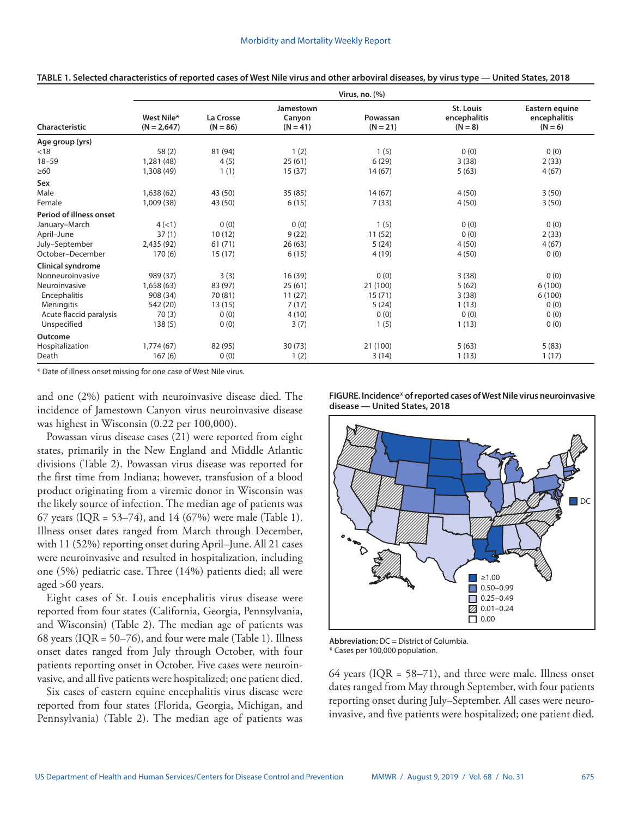|                                | Virus, no. (%)              |                         |                                   |                        |                                               |                                             |  |  |  |
|--------------------------------|-----------------------------|-------------------------|-----------------------------------|------------------------|-----------------------------------------------|---------------------------------------------|--|--|--|
| Characteristic                 | West Nile*<br>$(N = 2,647)$ | La Crosse<br>$(N = 86)$ | Jamestown<br>Canyon<br>$(N = 41)$ | Powassan<br>$(N = 21)$ | <b>St. Louis</b><br>encephalitis<br>$(N = 8)$ | Eastern equine<br>encephalitis<br>$(N = 6)$ |  |  |  |
| Age group (yrs)                |                             |                         |                                   |                        |                                               |                                             |  |  |  |
| < 18                           | 58(2)                       | 81 (94)                 | 1(2)                              | 1(5)                   | 0(0)                                          | 0(0)                                        |  |  |  |
| $18 - 59$                      | 1,281 (48)                  | 4(5)                    | 25(61)                            | 6(29)                  | 3(38)                                         | 2(33)                                       |  |  |  |
| $\geq 60$                      | 1,308 (49)                  | 1(1)                    | 15(37)                            | 14(67)                 | 5(63)                                         | 4(67)                                       |  |  |  |
| Sex                            |                             |                         |                                   |                        |                                               |                                             |  |  |  |
| Male                           | 1,638(62)                   | 43 (50)                 | 35(85)                            | 14(67)                 | 4(50)                                         | 3(50)                                       |  |  |  |
| Female                         | 1,009 (38)                  | 43 (50)                 | 6(15)                             | 7(33)                  | 4(50)                                         | 3(50)                                       |  |  |  |
| <b>Period of illness onset</b> |                             |                         |                                   |                        |                                               |                                             |  |  |  |
| January-March                  | 4(1)                        | 0(0)                    | 0(0)                              | 1(5)                   | 0(0)                                          | 0(0)                                        |  |  |  |
| April-June                     | 37(1)                       | 10(12)                  | 9(22)                             | 11(52)                 | 0(0)                                          | 2(33)                                       |  |  |  |
| July-September                 | 2,435 (92)                  | 61(71)                  | 26(63)                            | 5(24)                  | 4(50)                                         | 4(67)                                       |  |  |  |
| October-December               | 170(6)                      | 15(17)                  | 6(15)                             | 4 (19)                 | 4(50)                                         | 0(0)                                        |  |  |  |
| Clinical syndrome              |                             |                         |                                   |                        |                                               |                                             |  |  |  |
| Nonneuroinvasive               | 989 (37)                    | 3(3)                    | 16 (39)                           | 0(0)                   | 3(38)                                         | 0(0)                                        |  |  |  |
| Neuroinvasive                  | 1,658(63)                   | 83 (97)                 | 25(61)                            | 21 (100)               | 5(62)                                         | 6(100)                                      |  |  |  |
| Encephalitis                   | 908 (34)                    | 70 (81)                 | 11(27)                            | 15(71)                 | 3(38)                                         | 6(100)                                      |  |  |  |
| Meningitis                     | 542 (20)                    | 13(15)                  | 7(17)                             | 5(24)                  | 1(13)                                         | 0(0)                                        |  |  |  |
| Acute flaccid paralysis        | 70(3)                       | 0(0)                    | 4(10)                             | 0(0)                   | 0(0)                                          | 0(0)                                        |  |  |  |
| Unspecified                    | 138(5)                      | 0(0)                    | 3(7)                              | 1(5)                   | 1(13)                                         | 0(0)                                        |  |  |  |
| Outcome                        |                             |                         |                                   |                        |                                               |                                             |  |  |  |
| Hospitalization                | 1,774(67)                   | 82 (95)                 | 30(73)                            | 21 (100)               | 5(63)                                         | 5(83)                                       |  |  |  |
| Death                          | 167(6)                      | 0(0)                    | 1(2)                              | 3(14)                  | 1(13)                                         | 1(17)                                       |  |  |  |

| TABLE 1. Selected characteristics of reported cases of West Nile virus and other arboviral diseases, by virus type — United States, 2018 |  |  |  |
|------------------------------------------------------------------------------------------------------------------------------------------|--|--|--|
|                                                                                                                                          |  |  |  |

\* Date of illness onset missing for one case of West Nile virus.

and one (2%) patient with neuroinvasive disease died. The incidence of Jamestown Canyon virus neuroinvasive disease was highest in Wisconsin (0.22 per 100,000).

Powassan virus disease cases (21) were reported from eight states, primarily in the New England and Middle Atlantic divisions (Table 2). Powassan virus disease was reported for the first time from Indiana; however, transfusion of a blood product originating from a viremic donor in Wisconsin was the likely source of infection. The median age of patients was 67 years (IQR = 53–74), and 14 (67%) were male (Table 1). Illness onset dates ranged from March through December, with 11 (52%) reporting onset during April–June. All 21 cases were neuroinvasive and resulted in hospitalization, including one (5%) pediatric case. Three (14%) patients died; all were aged >60 years.

Eight cases of St. Louis encephalitis virus disease were reported from four states (California, Georgia, Pennsylvania, and Wisconsin) (Table 2). The median age of patients was 68 years ( $IQR = 50-76$ ), and four were male (Table 1). Illness onset dates ranged from July through October, with four patients reporting onset in October. Five cases were neuroinvasive, and all five patients were hospitalized; one patient died.

Six cases of eastern equine encephalitis virus disease were reported from four states (Florida, Georgia, Michigan, and Pennsylvania) (Table 2). The median age of patients was **FIGURE. Incidence\* of reported cases of West Nile virus neuroinvasive disease — United States, 2018**



**Abbreviation:** DC = District of Columbia.

\* Cases per 100,000 population.

64 years (IQR =  $58-71$ ), and three were male. Illness onset dates ranged from May through September, with four patients reporting onset during July–September. All cases were neuroinvasive, and five patients were hospitalized; one patient died.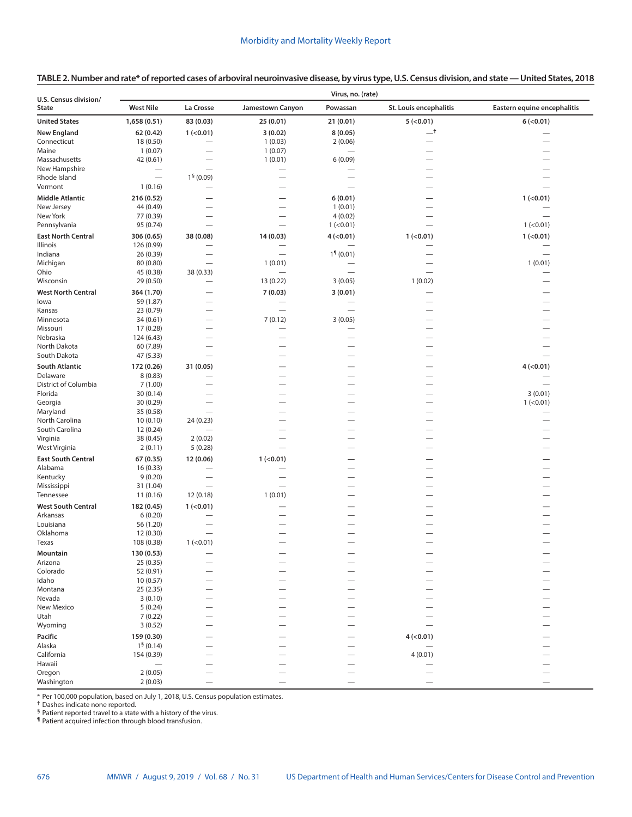| U.S. Census division/     |                         | Virus, no. (rate)        |                                                      |                                                      |                          |                             |  |  |  |
|---------------------------|-------------------------|--------------------------|------------------------------------------------------|------------------------------------------------------|--------------------------|-----------------------------|--|--|--|
| <b>State</b>              | <b>West Nile</b>        | La Crosse                | <b>Jamestown Canyon</b>                              | Powassan                                             | St. Louis encephalitis   | Eastern equine encephalitis |  |  |  |
| <b>United States</b>      | 1,658 (0.51)            | 83 (0.03)                | 25 (0.01)                                            | 21 (0.01)                                            | 5 (< 0.01)               | 6( <sub>0.01</sub> )        |  |  |  |
| <b>New England</b>        | 62 (0.42)               | $1$ (<0.01)              | 3(0.02)                                              | 8(0.05)                                              | $-^{\dagger}$            |                             |  |  |  |
| Connecticut               | 18 (0.50)               | -                        | 1(0.03)                                              | 2(0.06)                                              |                          |                             |  |  |  |
| Maine                     | 1(0.07)                 | $\overline{\phantom{0}}$ | 1(0.07)                                              |                                                      |                          |                             |  |  |  |
| Massachusetts             | 42 (0.61)               |                          | 1(0.01)                                              | 6(0.09)                                              |                          |                             |  |  |  |
| New Hampshire             |                         |                          | $\overline{\phantom{0}}$                             |                                                      |                          |                             |  |  |  |
| Rhode Island              | $\equiv$                | $15$ (0.09)              |                                                      |                                                      |                          |                             |  |  |  |
| Vermont                   | 1(0.16)                 |                          | $\overline{\phantom{0}}$                             |                                                      |                          |                             |  |  |  |
| <b>Middle Atlantic</b>    | 216 (0.52)              |                          | -                                                    | 6(0.01)                                              |                          | 1 (< 0.01)                  |  |  |  |
| New Jersey                | 44 (0.49)               |                          | $\overline{\phantom{0}}$                             | 1(0.01)                                              |                          |                             |  |  |  |
| New York                  | 77 (0.39)               |                          | $\overline{\phantom{0}}$                             | 4(0.02)                                              |                          |                             |  |  |  |
| Pennsylvania              | 95 (0.74)               |                          | $\overline{\phantom{0}}$                             | $1$ (<0.01)                                          |                          | $1$ (<0.01)                 |  |  |  |
| <b>East North Central</b> | 306 (0.65)              | 38 (0.08)                | 14(0.03)                                             | $4$ (<0.01)                                          | 1 (< 0.01)               | 1 (< 0.01)                  |  |  |  |
| Illinois                  | 126 (0.99)              |                          |                                                      |                                                      |                          |                             |  |  |  |
| Indiana                   | 26 (0.39)               | $\overline{\phantom{0}}$ | $\overline{\phantom{0}}$                             | $19$ (0.01)                                          |                          | $\overline{\phantom{0}}$    |  |  |  |
| Michigan                  | 80 (0.80)               | $\overline{\phantom{0}}$ | 1(0.01)                                              |                                                      |                          | 1(0.01)                     |  |  |  |
| Ohio                      | 45 (0.38)               | 38 (0.33)                |                                                      | $\overline{\phantom{0}}$                             | $\overline{\phantom{0}}$ |                             |  |  |  |
| Wisconsin                 | 29 (0.50)               | —                        | 13 (0.22)                                            | 3(0.05)                                              | 1(0.02)                  |                             |  |  |  |
| <b>West North Central</b> | 364 (1.70)              |                          | 7(0.03)                                              | 3(0.01)                                              |                          |                             |  |  |  |
| lowa                      | 59 (1.87)               |                          |                                                      |                                                      |                          |                             |  |  |  |
| Kansas                    | 23 (0.79)               |                          | $\overline{\phantom{0}}$                             |                                                      |                          |                             |  |  |  |
| Minnesota                 | 34 (0.61)               |                          | 7(0.12)                                              | 3(0.05)                                              |                          |                             |  |  |  |
| Missouri<br>Nebraska      | 17 (0.28)               | $\overline{\phantom{0}}$ | $\overline{\phantom{0}}$<br>$\overline{\phantom{0}}$ | $\overline{\phantom{0}}$<br>$\overline{\phantom{0}}$ |                          |                             |  |  |  |
| North Dakota              | 124 (6.43)<br>60 (7.89) | $\overline{\phantom{0}}$ | $\overline{\phantom{0}}$                             |                                                      |                          |                             |  |  |  |
| South Dakota              | 47 (5.33)               |                          | $\overline{\phantom{0}}$                             |                                                      |                          |                             |  |  |  |
| <b>South Atlantic</b>     |                         | 31 (0.05)                |                                                      |                                                      |                          |                             |  |  |  |
| Delaware                  | 172 (0.26)<br>8(0.83)   |                          |                                                      |                                                      |                          | 4 (< 0.01)                  |  |  |  |
| District of Columbia      | 7(1.00)                 |                          |                                                      |                                                      |                          |                             |  |  |  |
| Florida                   | 30 (0.14)               |                          |                                                      |                                                      |                          | 3(0.01)                     |  |  |  |
| Georgia                   | 30 (0.29)               |                          |                                                      |                                                      |                          | 1 (< 0.01)                  |  |  |  |
| Maryland                  | 35 (0.58)               | $\overline{\phantom{0}}$ | -                                                    | $\overline{\phantom{0}}$                             |                          |                             |  |  |  |
| North Carolina            | 10(0.10)                | 24 (0.23)                |                                                      |                                                      |                          |                             |  |  |  |
| South Carolina            | 12 (0.24)               |                          |                                                      |                                                      |                          |                             |  |  |  |
| Virginia                  | 38 (0.45)               | 2(0.02)                  |                                                      |                                                      |                          |                             |  |  |  |
| West Virginia             | 2(0.11)                 | 5(0.28)                  |                                                      |                                                      |                          |                             |  |  |  |
| <b>East South Central</b> | 67 (0.35)               | 12 (0.06)                | $1$ (<0.01)                                          |                                                      |                          |                             |  |  |  |
| Alabama                   | 16 (0.33)               |                          |                                                      |                                                      |                          |                             |  |  |  |
| Kentucky                  | 9(0.20)                 | $\overline{\phantom{0}}$ | $\overline{\phantom{0}}$                             |                                                      |                          |                             |  |  |  |
| Mississippi               | 31 (1.04)               | $\qquad \qquad$          | $\overline{\phantom{0}}$                             |                                                      |                          |                             |  |  |  |
| Tennessee                 | 11(0.16)                | 12 (0.18)                | 1(0.01)                                              |                                                      |                          |                             |  |  |  |
| <b>West South Central</b> | 182 (0.45)              | 1 (< 0.01)               |                                                      |                                                      |                          |                             |  |  |  |
| Arkansas                  | 6(0.20)                 |                          |                                                      |                                                      |                          |                             |  |  |  |
| Louisiana                 | 56 (1.20)               |                          |                                                      |                                                      |                          |                             |  |  |  |
| Oklahoma                  | 12 (0.30)               |                          |                                                      |                                                      |                          |                             |  |  |  |
| Texas                     | 108 (0.38)              | 1 (< 0.01)               |                                                      |                                                      |                          |                             |  |  |  |
| Mountain                  | 130 (0.53)              |                          |                                                      |                                                      |                          |                             |  |  |  |
| Arizona                   | 25 (0.35)               |                          |                                                      |                                                      |                          |                             |  |  |  |
| Colorado                  | 52 (0.91)               |                          |                                                      |                                                      |                          |                             |  |  |  |
| Idaho                     | 10(0.57)                |                          |                                                      |                                                      |                          |                             |  |  |  |
| Montana<br>Nevada         | 25 (2.35)<br>3(0.10)    |                          |                                                      |                                                      |                          |                             |  |  |  |
| New Mexico                | 5(0.24)                 |                          |                                                      |                                                      |                          |                             |  |  |  |
| Utah                      | 7(0.22)                 |                          |                                                      |                                                      |                          |                             |  |  |  |
| Wyoming                   | 3(0.52)                 |                          |                                                      |                                                      |                          |                             |  |  |  |
| Pacific                   | 159 (0.30)              |                          |                                                      |                                                      | $4$ (<0.01)              |                             |  |  |  |
| Alaska                    | 1 <sup>§</sup> (0.14)   |                          |                                                      |                                                      |                          |                             |  |  |  |
| California                | 154 (0.39)              |                          |                                                      |                                                      | 4(0.01)                  |                             |  |  |  |
| Hawaii                    |                         |                          |                                                      |                                                      |                          |                             |  |  |  |
| Oregon                    | 2(0.05)                 |                          |                                                      |                                                      |                          |                             |  |  |  |
| Washington                | 2(0.03)                 |                          |                                                      |                                                      |                          |                             |  |  |  |

\* Per 100,000 population, based on July 1, 2018, U.S. Census population estimates.

† Dashes indicate none reported.

§ Patient reported travel to a state with a history of the virus.

¶ Patient acquired infection through blood transfusion.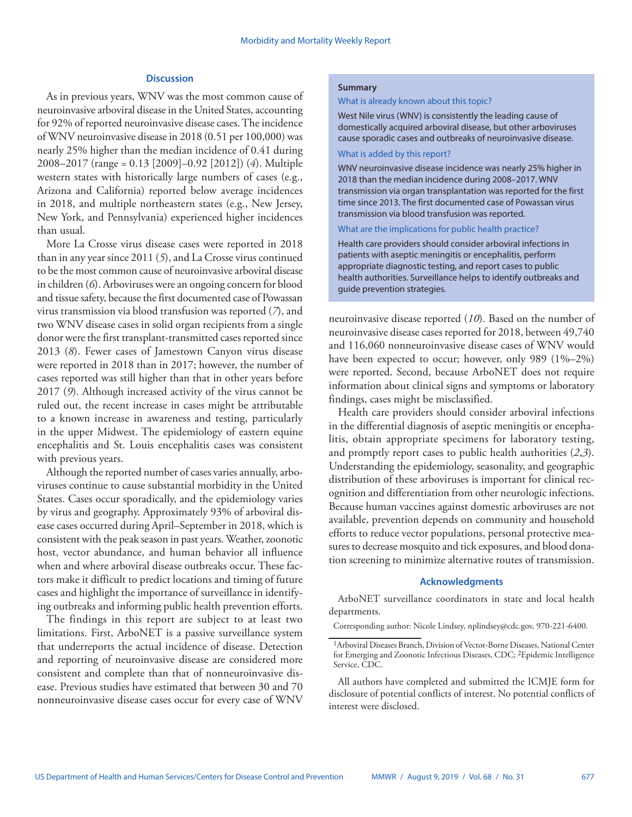# **Discussion**

As in previous years, WNV was the most common cause of neuroinvasive arboviral disease in the United States, accounting for 92% of reported neuroinvasive disease cases. The incidence of WNV neuroinvasive disease in 2018 (0.51 per 100,000) was nearly 25% higher than the median incidence of 0.41 during 2008–2017 (range = 0.13 [2009]–0.92 [2012]) (*4*). Multiple western states with historically large numbers of cases (e.g., Arizona and California) reported below average incidences in 2018, and multiple northeastern states (e.g., New Jersey, New York, and Pennsylvania) experienced higher incidences than usual.

More La Crosse virus disease cases were reported in 2018 than in any year since 2011 (*5*), and La Crosse virus continued to be the most common cause of neuroinvasive arboviral disease in children (*6*). Arboviruses were an ongoing concern for blood and tissue safety, because the first documented case of Powassan virus transmission via blood transfusion was reported (*7*), and two WNV disease cases in solid organ recipients from a single donor were the first transplant-transmitted cases reported since 2013 (*8*). Fewer cases of Jamestown Canyon virus disease were reported in 2018 than in 2017; however, the number of cases reported was still higher than that in other years before 2017 (*9*). Although increased activity of the virus cannot be ruled out, the recent increase in cases might be attributable to a known increase in awareness and testing, particularly in the upper Midwest. The epidemiology of eastern equine encephalitis and St. Louis encephalitis cases was consistent with previous years.

Although the reported number of cases varies annually, arboviruses continue to cause substantial morbidity in the United States. Cases occur sporadically, and the epidemiology varies by virus and geography. Approximately 93% of arboviral disease cases occurred during April–September in 2018, which is consistent with the peak season in past years. Weather, zoonotic host, vector abundance, and human behavior all influence when and where arboviral disease outbreaks occur. These factors make it difficult to predict locations and timing of future cases and highlight the importance of surveillance in identifying outbreaks and informing public health prevention efforts.

The findings in this report are subject to at least two limitations. First, ArboNET is a passive surveillance system that underreports the actual incidence of disease. Detection and reporting of neuroinvasive disease are considered more consistent and complete than that of nonneuroinvasive disease. Previous studies have estimated that between 30 and 70 nonneuroinvasive disease cases occur for every case of WNV

## **Summary**

#### What is already known about this topic?

West Nile virus (WNV) is consistently the leading cause of domestically acquired arboviral disease, but other arboviruses cause sporadic cases and outbreaks of neuroinvasive disease.

## What is added by this report?

WNV neuroinvasive disease incidence was nearly 25% higher in 2018 than the median incidence during 2008–2017. WNV transmission via organ transplantation was reported for the first time since 2013. The first documented case of Powassan virus transmission via blood transfusion was reported.

## What are the implications for public health practice?

Health care providers should consider arboviral infections in patients with aseptic meningitis or encephalitis, perform appropriate diagnostic testing, and report cases to public health authorities. Surveillance helps to identify outbreaks and guide prevention strategies.

neuroinvasive disease reported (*10*). Based on the number of neuroinvasive disease cases reported for 2018, between 49,740 and 116,060 nonneuroinvasive disease cases of WNV would have been expected to occur; however, only 989 (1%–2%) were reported. Second, because ArboNET does not require information about clinical signs and symptoms or laboratory findings, cases might be misclassified.

Health care providers should consider arboviral infections in the differential diagnosis of aseptic meningitis or encephalitis, obtain appropriate specimens for laboratory testing, and promptly report cases to public health authorities (*2*,*3*). Understanding the epidemiology, seasonality, and geographic distribution of these arboviruses is important for clinical recognition and differentiation from other neurologic infections. Because human vaccines against domestic arboviruses are not available, prevention depends on community and household efforts to reduce vector populations, personal protective measures to decrease mosquito and tick exposures, and blood donation screening to minimize alternative routes of transmission.

## **Acknowledgments**

ArboNET surveillance coordinators in state and local health departments.

Corresponding author: Nicole Lindsey, [nplindsey@cdc.gov,](mailto:nplindsey@cdc.gov) 970-221-6400.

<sup>1</sup>Arboviral Diseases Branch, Division of Vector-Borne Diseases, National Center for Emerging and Zoonotic Infectious Diseases, CDC; 2Epidemic Intelligence Service, CDC.

All authors have completed and submitted the ICMJE form for disclosure of potential conflicts of interest. No potential conflicts of interest were disclosed.